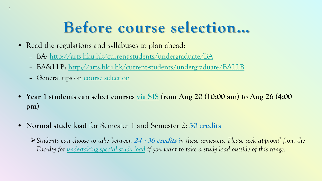## **Before course selection…**

- Read the regulations and syllabuses to plan ahead:
	- BA: <http://arts.hku.hk/current-students/undergraduate/BA>
	- BA&LLB: <http://arts.hku.hk/current-students/undergraduate/BALLB>
	- General tips on [course selection](http://arts.hku.hk/current-students/undergraduate/course-selection)

1

- **Year 1 students can select courses [via SIS](https://intraweb.hku.hk/reserved_1/sis_student/sis/reference-materials/Quick_Guide_on_Course_Selection_and_Enrollment.pdf) from Aug 20 (10:00 am) to Aug 26 (4:00 pm)**
- **Normal study load** for Semester 1 and Semester 2: **30 credits**

 $\triangleright$  Students can choose to take between 24 - 36 credits in these semesters. Please seek approval from the *Faculty for [undertaking](http://arts.hku.hk/current-students/undergraduate/forms) special study load if you want to take a study load outside of this range.*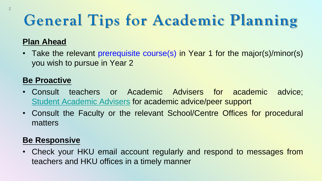# **General Tips for Academic Planning**

### **Plan Ahead**

• Take the relevant prerequisite course(s) in Year 1 for the major(s)/minor(s) you wish to pursue in Year 2

#### **Be Proactive**

- Consult teachers or Academic Advisers for academic advice; Student [Academic](https://arts.hku.hk/teaching-and-learning/academic-advising/SAA) Advisers for academic advice/peer support
- Consult the Faculty or the relevant School/Centre Offices for procedural matters

#### **Be Responsive**

• Check your HKU email account regularly and respond to messages from teachers and HKU offices in a timely manner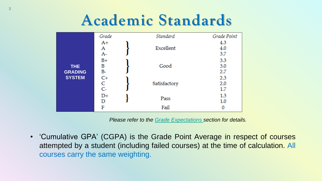### **Academic Standards**

|                                         | Grade           |  | Standard     | Grade Point       |
|-----------------------------------------|-----------------|--|--------------|-------------------|
| THE.<br><b>GRADING</b><br><b>SYSTEM</b> | A+<br>A<br>$A-$ |  | Excellent    | 4.3<br>4.0<br>3.7 |
|                                         | $B+$<br>B<br>B- |  | Good         | 3.3<br>3.0<br>2.7 |
|                                         | $C+$<br>C<br>C- |  | Satisfactory | 2.3<br>2.0<br>1.7 |
|                                         | $D+$<br>D       |  | Pass         | $1.3\,$<br>1.0    |
|                                         | F               |  | Fail         |                   |

*Please refer to the [Grade Expectations](http://arts.hku.hk/grade_expectations.pdf) section for details.*

• 'Cumulative GPA' (CGPA) is the Grade Point Average in respect of courses attempted by a student (including failed courses) at the time of calculation. All courses carry the same weighting.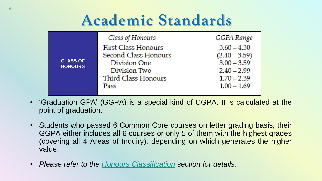### **Academic Standards**

|                                   | Class of Honours     | GGPA Range      |
|-----------------------------------|----------------------|-----------------|
| <b>CLASS OF</b><br><b>HONOURS</b> | First Class Honours  | $3.60 - 4.30$   |
|                                   | Second Class Honours | $(2.40 - 3.59)$ |
|                                   | Division One         | $3.00 - 3.59$   |
|                                   | Division Two         | $2.40 - 2.99$   |
|                                   | Third Class Honours  | $1.70 - 2.39$   |
|                                   | Pass                 | $1.00 - 1.69$   |
|                                   |                      |                 |

- 'Graduation GPA' (GGPA) is a special kind of CGPA. It is calculated at the point of graduation.
- Students who passed 6 Common Core courses on letter grading basis, their GGPA either includes all 6 courses or only 5 of them with the highest grades (covering all 4 Areas of Inquiry), depending on which generates the higher value.
- *Please refer to the Honours [Classification](http://arts.hku.hk/current-students/undergraduate/assessment) section for details.*